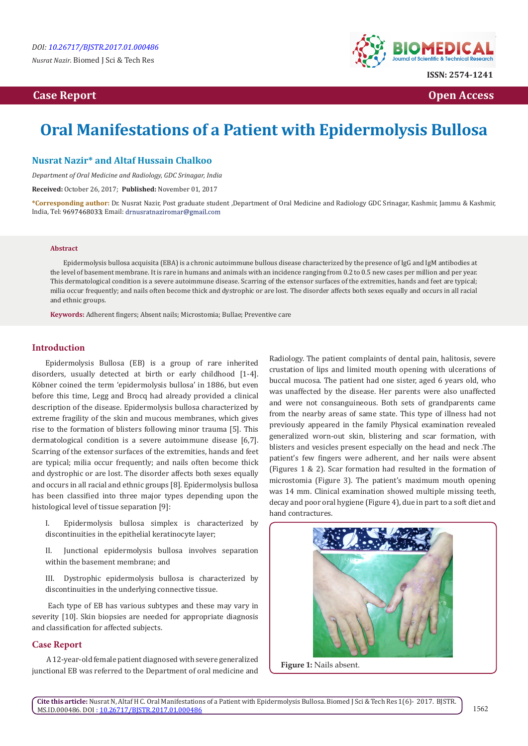# **Case Report Case Report Case Access**  $\alpha$  **Case Report** Case **Open Access Open Access**



# **Oral Manifestations of a Patient with Epidermolysis Bullosa**

# **Nusrat Nazir\* and Altaf Hussain Chalkoo**

*Department of Oral Medicine and Radiology, GDC Srinagar, India*

**Received:** October 26, 2017; **Published:** November 01, 2017

**\*Corresponding author:** Dr. Nusrat Nazir, Post graduate student ,Department of Oral Medicine and Radiology GDC Srinagar, Kashmir, Jammu & Kashmir, India, Tel: 9697468033; Email: drnusratnaziromar@gmail.com

#### **Abstract**

Epidermolysis bullosa acquisita (EBA) is a chronic autoimmune bullous disease characterized by the presence of IgG and IgM antibodies at the level of basement membrane. It is rare in humans and animals with an incidence ranging from 0.2 to 0.5 new cases per million and per year. This dermatological condition is a severe autoimmune disease. Scarring of the extensor surfaces of the extremities, hands and feet are typical; milia occur frequently; and nails often become thick and dystrophic or are lost. The disorder affects both sexes equally and occurs in all racial and ethnic groups.

**Keywords:** Adherent fingers; Absent nails; Microstomia; Bullae; Preventive care

### **Introduction**

Epidermolysis Bullosa (EB) is a group of rare inherited disorders, usually detected at birth or early childhood [1-4]. Köbner coined the term 'epidermolysis bullosa' in 1886, but even before this time, Legg and Brocq had already provided a clinical description of the disease. Epidermolysis bullosa characterized by extreme fragility of the skin and mucous membranes, which gives rise to the formation of blisters following minor trauma [5]. This dermatological condition is a severe autoimmune disease [6,7]. Scarring of the extensor surfaces of the extremities, hands and feet are typical; milia occur frequently; and nails often become thick and dystrophic or are lost. The disorder affects both sexes equally and occurs in all racial and ethnic groups [8]. Epidermolysis bullosa has been classified into three major types depending upon the histological level of tissue separation [9]:

I. Epidermolysis bullosa simplex is characterized by discontinuities in the epithelial keratinocyte layer;

II. Junctional epidermolysis bullosa involves separation within the basement membrane; and

III. Dystrophic epidermolysis bullosa is characterized by discontinuities in the underlying connective tissue.

 Each type of EB has various subtypes and these may vary in severity [10]. Skin biopsies are needed for appropriate diagnosis and classification for affected subjects.

## **Case Report**

 A 12-year-old female patient diagnosed with severe generalized junctional EB was referred to the Department of oral medicine and

Radiology. The patient complaints of dental pain, halitosis, severe crustation of lips and limited mouth opening with ulcerations of buccal mucosa. The patient had one sister, aged 6 years old, who was unaffected by the disease. Her parents were also unaffected and were not consanguineous. Both sets of grandparents came from the nearby areas of same state. This type of illness had not previously appeared in the family Physical examination revealed generalized worn-out skin, blistering and scar formation, with blisters and vesicles present especially on the head and neck .The patient's few fingers were adherent, and her nails were absent (Figures 1 & 2). Scar formation had resulted in the formation of microstomia (Figure 3). The patient's maximum mouth opening was 14 mm. Clinical examination showed multiple missing teeth, decay and poor oral hygiene (Figure 4), due in part to a soft diet and hand contractures.



**Figure 1:** Nails absent.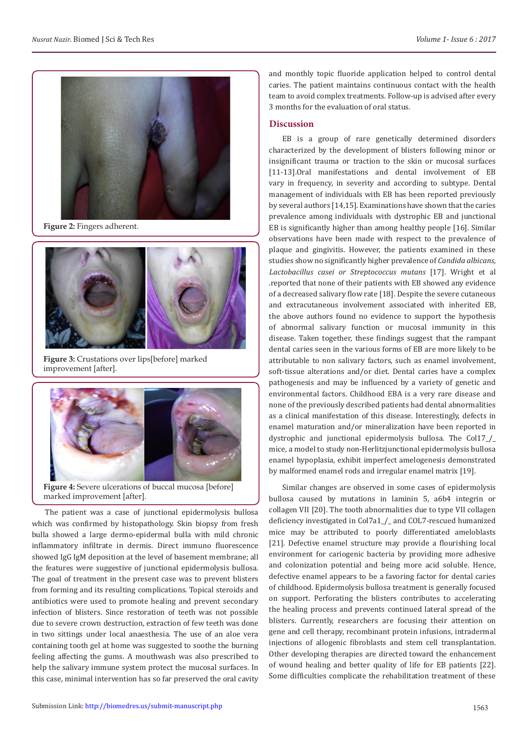

**Figure 2:** Fingers adherent.



**Figure 3:** Crustations over lips[before] marked improvement [after].



**Figure 4:** Severe ulcerations of buccal mucosa [before] marked improvement [after].

The patient was a case of junctional epidermolysis bullosa which was confirmed by histopathology. Skin biopsy from fresh bulla showed a large dermo-epidermal bulla with mild chronic inflammatory infiltrate in dermis. Direct immuno fluorescence showed IgG IgM deposition at the level of basement membrane; all the features were suggestive of junctional epidermolysis bullosa. The goal of treatment in the present case was to prevent blisters from forming and its resulting complications. Topical steroids and antibiotics were used to promote healing and prevent secondary infection of blisters. Since restoration of teeth was not possible due to severe crown destruction, extraction of few teeth was done in two sittings under local anaesthesia. The use of an aloe vera containing tooth gel at home was suggested to soothe the burning feeling affecting the gums. A mouthwash was also prescribed to help the salivary immune system protect the mucosal surfaces. In this case, minimal intervention has so far preserved the oral cavity

and monthly topic fluoride application helped to control dental caries. The patient maintains continuous contact with the health team to avoid complex treatments. Follow-up is advised after every 3 months for the evaluation of oral status.

#### **Discussion**

EB is a group of rare genetically determined disorders characterized by the development of blisters following minor or insignificant trauma or traction to the skin or mucosal surfaces [11-13].Oral manifestations and dental involvement of EB vary in frequency, in severity and according to subtype. Dental management of individuals with EB has been reported previously by several authors [14,15]. Examinations have shown that the caries prevalence among individuals with dystrophic EB and junctional EB is significantly higher than among healthy people [16]. Similar observations have been made with respect to the prevalence of plaque and gingivitis. However, the patients examined in these studies show no significantly higher prevalence of *Candida albicans, Lactobacillus casei or Streptococcus mutans* [17]. Wright et al .reported that none of their patients with EB showed any evidence of a decreased salivary flow rate [18]. Despite the severe cutaneous and extracutaneous involvement associated with inherited EB, the above authors found no evidence to support the hypothesis of abnormal salivary function or mucosal immunity in this disease. Taken together, these findings suggest that the rampant dental caries seen in the various forms of EB are more likely to be attributable to non salivary factors, such as enamel involvement, soft-tissue alterations and/or diet. Dental caries have a complex pathogenesis and may be influenced by a variety of genetic and environmental factors. Childhood EBA is a very rare disease and none of the previously described patients had dental abnormalities as a clinical manifestation of this disease. Interestingly, defects in enamel maturation and/or mineralization have been reported in dystrophic and junctional epidermolysis bullosa. The Col17\_/\_ mice, a model to study non-Herlitzjunctional epidermolysis bullosa enamel hypoplasia, exhibit imperfect amelogenesis demonstrated by malformed enamel rods and irregular enamel matrix [19].

Similar changes are observed in some cases of epidermolysis bullosa caused by mutations in laminin 5, a6b4 integrin or collagen VII [20]. The tooth abnormalities due to type VII collagen deficiency investigated in Col7a1\_/\_ and COL7-rescued humanized mice may be attributed to poorly differentiated ameloblasts [21]. Defective enamel structure may provide a flourishing local environment for cariogenic bacteria by providing more adhesive and colonization potential and being more acid soluble. Hence, defective enamel appears to be a favoring factor for dental caries of childhood. Epidermolysis bullosa treatment is generally focused on support. Perforating the blisters contributes to accelerating the healing process and prevents continued lateral spread of the blisters. Currently, researchers are focusing their attention on gene and cell therapy, recombinant protein infusions, intradermal injections of allogenic fibroblasts and stem cell transplantation. Other developing therapies are directed toward the enhancement of wound healing and better quality of life for EB patients [22]. Some difficulties complicate the rehabilitation treatment of these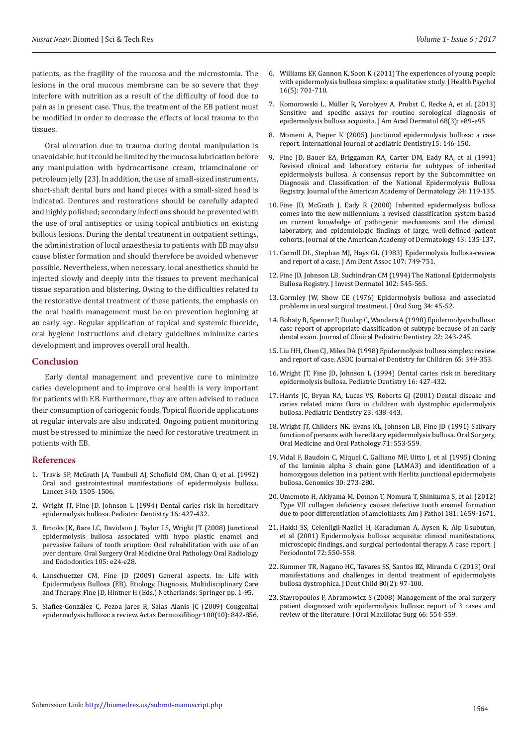patients, as the fragility of the mucosa and the microstomia. The lesions in the oral mucous membrane can be so severe that they interfere with nutrition as a result of the difficulty of food due to pain as in present case. Thus, the treatment of the EB patient must be modified in order to decrease the effects of local trauma to the tissues.

Oral ulceration due to trauma during dental manipulation is unavoidable, but it could be limited by the mucosa lubrication before any manipulation with hydrocortisone cream, triamcinalone or petroleum jelly [23]. In addition, the use of small-sized instruments, short-shaft dental burs and hand pieces with a small-sized head is indicated. Dentures and restorations should be carefully adapted and highly polished; secondary infections should be prevented with the use of oral antiseptics or using topical antibiotics on existing bullous lesions. During the dental treatment in outpatient settings, the administration of local anaesthesia to patients with EB may also cause blister formation and should therefore be avoided whenever possible. Nevertheless, when necessary, local anesthetics should be injected slowly and deeply into the tissues to prevent mechanical tissue separation and blistering. Owing to the difficulties related to the restorative dental treatment of these patients, the emphasis on the oral health management must be on prevention beginning at an early age. Regular application of topical and systemic fluoride, oral hygiene instructions and dietary guidelines minimize caries development and improves overall oral health.

#### **Conclusion**

Early dental management and preventive care to minimize caries development and to improve oral health is very important for patients with EB. Furthermore, they are often advised to reduce their consumption of cariogenic foods. Topical fluoride applications at regular intervals are also indicated. Ongoing patient monitoring must be stressed to minimize the need for restorative treatment in patients with EB.

#### **References**

- 1. [Travis SP, McGrath JA, Tumbull AJ, Schofield OM, Chan O, et al. \(1992\)](http://www.sciencedirect.com/science/article/pii/0140673692927599)  [Oral and gastrointestinal manifestations of epidermolysis bullosa.](http://www.sciencedirect.com/science/article/pii/0140673692927599)  [Lancet 340: 1505-1506.](http://www.sciencedirect.com/science/article/pii/0140673692927599)
- 2. [Wright JT, Fine JD, Johnson L \(1994\) Dental caries risk in hereditary](https://www.ncbi.nlm.nih.gov/pubmed/7854950)  [epidermolysis bullosa. Pediatric Dentistry 16: 427-432.](https://www.ncbi.nlm.nih.gov/pubmed/7854950)
- 3. [Brooks JK, Bare LC, Davidson J, Taylor LS, Wright JT \(2008\) Junctional](https://www.ncbi.nlm.nih.gov/pubmed/18329564)  [epidermolysis bullosa associated with hypo plastic enamel and](https://www.ncbi.nlm.nih.gov/pubmed/18329564)  [pervasive failure of tooth eruption: Oral rehabilitation with use of an](https://www.ncbi.nlm.nih.gov/pubmed/18329564)  [over denture. Oral Surgery Oral Medicine Oral Pathology Oral Radiology](https://www.ncbi.nlm.nih.gov/pubmed/18329564)  [and Endodontics 105: e24-e28.](https://www.ncbi.nlm.nih.gov/pubmed/18329564)
- 4. Lanschuetzer CM, Fine JD (2009) General aspects. In: Life with Epidermolysis Bullosa (EB). Etiology, Diagnosis, Multidisciplinary Care and Therapy. Fine JD, Hintner H (Eds.) Netherlands: Springer pp. 1-95.
- 5. Sia**ñ**ez-Gonz**á**[lez C, Pezoa Jares R, Salas Alanis JC \(2009\) Congenital](https://www.ncbi.nlm.nih.gov/pubmed/20038360)  [epidermolysis bullosa: a review. Actas Dermosifiliogr 100\(10\): 842-856.](https://www.ncbi.nlm.nih.gov/pubmed/20038360)
- 6. [Williams EF, Gannon K, Soon K \(2011\) The experiences of young people](https://www.ncbi.nlm.nih.gov/pubmed/21441362) [with epidermolysis bullosa simplex: a qualitative study. J Health Psychol](https://www.ncbi.nlm.nih.gov/pubmed/21441362) [16\(5\): 701-710.](https://www.ncbi.nlm.nih.gov/pubmed/21441362)
- 7. [Komorowski L, Müller R, Vorobyev A, Probst C, Recke A, et al. \(2013\)](https://www.ncbi.nlm.nih.gov/pubmed/22341608) [Sensitive and specific assays for routine serological diagnosis of](https://www.ncbi.nlm.nih.gov/pubmed/22341608) [epidermolysis bullosa acquisita. J Am Acad Dermatol 68\(3\): e89-e95](https://www.ncbi.nlm.nih.gov/pubmed/22341608)
- 8. [Momeni A, Pieper K \(2005\) Junctional epidermolysis bullosa: a case](http://onlinelibrary.wiley.com/doi/10.1111/j.1365-263X.2005.00622.x/abstract) [report. International Journal of aediatric Dentistry15: 146-150.](http://onlinelibrary.wiley.com/doi/10.1111/j.1365-263X.2005.00622.x/abstract)
- 9. [Fine JD, Bauer EA, Briggaman RA, Carter DM, Eady RA, et al \(1991\)](https://www.ncbi.nlm.nih.gov/pubmed/1999509) [Revised clinical and laboratory criteria for subtypes of inherited](https://www.ncbi.nlm.nih.gov/pubmed/1999509) [epidermolysis bullosa. A consensus report by the Subcommittee on](https://www.ncbi.nlm.nih.gov/pubmed/1999509) [Diagnosis and Classification of the National Epidermolysis Bullosa](https://www.ncbi.nlm.nih.gov/pubmed/1999509) [Registry. Journal of the American Academy of Dermatology 24: 119-135.](https://www.ncbi.nlm.nih.gov/pubmed/1999509)
- 10. [Fine JD, McGrath J, Eady R \(2000\) Inherited epidermolysis bullosa](http://www.jaad.org/article/S0190-9622(00)31169-0/abstract) [comes into the new millennium: a revised classification system based](http://www.jaad.org/article/S0190-9622(00)31169-0/abstract) [on current knowledge of pathogenic mechanisms and the clinical,](http://www.jaad.org/article/S0190-9622(00)31169-0/abstract) [laboratory, and epidemiologic findings of large, well-defined patient](http://www.jaad.org/article/S0190-9622(00)31169-0/abstract) [cohorts. Journal of the American Academy of Dermatology 43: 135-137.](http://www.jaad.org/article/S0190-9622(00)31169-0/abstract)
- 11. [Carroll DL, Stephan MJ, Hays GL \(1983\) Epidermolysis bullosa-review](http://www.sciencedirect.com/science/article/pii/S0002817783750166) [and report of a case. J Am Dent Assoc 107: 749-751.](http://www.sciencedirect.com/science/article/pii/S0002817783750166)
- 12. [Fine JD, Johnson LB, Suchindran CM \(1994\) The National Epidermolysis](https://www.ncbi.nlm.nih.gov/pubmed/8006439) [Bullosa Registry. J Invest Dermatol 102: 545-565.](https://www.ncbi.nlm.nih.gov/pubmed/8006439)
- 13. [Gormley JW, Show CE \(1976\) Epidermolysis bullosa and associated](https://www.ncbi.nlm.nih.gov/pubmed/1059750) [problems in oral surgical treatment. J Oral Surg 34: 45-52.](https://www.ncbi.nlm.nih.gov/pubmed/1059750)
- 14. [Bohaty B, Spencer P, Dunlap C, Wandera A \(1998\) Epidermolysis bullosa:](http://europepmc.org/abstract/med/9641100) [case report of appropriate classification of subtype because of an early](http://europepmc.org/abstract/med/9641100) [dental exam. Journal of Clinical Pediatric Dentistry 22: 243-245.](http://europepmc.org/abstract/med/9641100)
- 15. [Liu HH, Chen CJ, Miles DA \(1998\) Epidermolysis bullosa simplex: review](https://www.ncbi.nlm.nih.gov/pubmed/9795742) [and report of case. ASDC Journal of Dentistry for Children 65: 349-353.](https://www.ncbi.nlm.nih.gov/pubmed/9795742)
- 16. [Wright JT, Fine JD, Johnson L \(1994\) Dental caries risk in hereditary](https://www.ncbi.nlm.nih.gov/pubmed/7854950) [epidermolysis bullosa. Pediatric Dentistry 16: 427-432.](https://www.ncbi.nlm.nih.gov/pubmed/7854950)
- 17. [Harris JC, Bryan RA, Lucas VS, Roberts GJ \(2001\) Dental disease and](https://www.ncbi.nlm.nih.gov/pubmed/11699172) [caries related micro flora in children with dystrophic epidermolysis](https://www.ncbi.nlm.nih.gov/pubmed/11699172) [bullosa. Pediatric Dentistry 23: 438-443.](https://www.ncbi.nlm.nih.gov/pubmed/11699172)
- 18. [Wright JT, Childers NK, Evans KL, Johnson LB, Fine JD \(1991\) Salivary](https://www.ncbi.nlm.nih.gov/pubmed/2047096) [function of persons with hereditary epidermolysis bullosa. Oral Surgery,](https://www.ncbi.nlm.nih.gov/pubmed/2047096) [Oral Medicine and Oral Pathology 71: 553-559.](https://www.ncbi.nlm.nih.gov/pubmed/2047096)
- 19. [Vidal F, Baudoin C, Miquel C, Galliano MF, Uitto J, et al \(1995\) Cloning](https://www.ncbi.nlm.nih.gov/pubmed/8586427) [of the laminin alpha 3 chain gene \(LAMA3\) and identification of a](https://www.ncbi.nlm.nih.gov/pubmed/8586427) [homozygous deletion in a patient with Herlitz junctional epidermolysis](https://www.ncbi.nlm.nih.gov/pubmed/8586427) [bullosa. Genomics 30: 273-280.](https://www.ncbi.nlm.nih.gov/pubmed/8586427)
- 20. [Umemoto H, Akiyama M, Domon T, Nomura T, Shinkuma S, et al. \(2012\)](https://www.ncbi.nlm.nih.gov/pubmed/22940071) [Type VII collagen deficiency causes defective tooth enamel formation](https://www.ncbi.nlm.nih.gov/pubmed/22940071) [due to poor differentiation of ameloblasts. Am J Pathol 181: 1659-1671.](https://www.ncbi.nlm.nih.gov/pubmed/22940071)
- 21. [Hakki SS, Celenligil-Nazliel H, Karaduman A, Aysen K, Alp Usubutun,](https://s3.amazonaws.com/academia.edu.documents/44637794/Epidermolysis_bullosa_acquisita_clinical20160411-16497-3whdro.pdf?AWSAccessKeyId=AKIAIWOWYYGZ2Y53UL3A&Expires=1509368497&Signature=ToZMbAIQ2e2nlADWYgWgUBCdmh0%3D&response-content-disposition=inline%253) [et al \(2001\) Epidermolysis bullosa acquisita: clinical manifestations,](https://s3.amazonaws.com/academia.edu.documents/44637794/Epidermolysis_bullosa_acquisita_clinical20160411-16497-3whdro.pdf?AWSAccessKeyId=AKIAIWOWYYGZ2Y53UL3A&Expires=1509368497&Signature=ToZMbAIQ2e2nlADWYgWgUBCdmh0%3D&response-content-disposition=inline%253) [microscopic findings, and surgical periodontal therapy. A case report. J](https://s3.amazonaws.com/academia.edu.documents/44637794/Epidermolysis_bullosa_acquisita_clinical20160411-16497-3whdro.pdf?AWSAccessKeyId=AKIAIWOWYYGZ2Y53UL3A&Expires=1509368497&Signature=ToZMbAIQ2e2nlADWYgWgUBCdmh0%3D&response-content-disposition=inline%253) [Periodontol 72: 550-558.](https://s3.amazonaws.com/academia.edu.documents/44637794/Epidermolysis_bullosa_acquisita_clinical20160411-16497-3whdro.pdf?AWSAccessKeyId=AKIAIWOWYYGZ2Y53UL3A&Expires=1509368497&Signature=ToZMbAIQ2e2nlADWYgWgUBCdmh0%3D&response-content-disposition=inline%253)
- 22. [Kummer TR, Nagano HC, Tavares SS, Santos BZ, Miranda C \(2013\) Oral](https://www.ncbi.nlm.nih.gov/pubmed/24011299) [manifestations and challenges in dental treatment of epidermolysis](https://www.ncbi.nlm.nih.gov/pubmed/24011299) [bullosa dystrophica. J Dent Child 80\(2\): 97-100.](https://www.ncbi.nlm.nih.gov/pubmed/24011299)
- 23. [Stavropoulos F, Abramowicz S \(2008\) Management of the oral surgery](https://www.ncbi.nlm.nih.gov/pubmed/18280394) [patient diagnosed with epidermolysis bullosa: report of 3 cases and](https://www.ncbi.nlm.nih.gov/pubmed/18280394) [review of the literature. J Oral Maxillofac Surg 66: 554-559.](https://www.ncbi.nlm.nih.gov/pubmed/18280394)